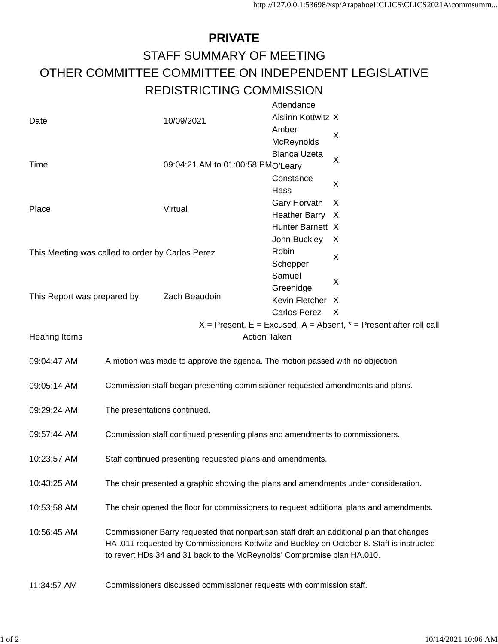## **PRIVATE** STAFF SUMMARY OF MEETING OTHER COMMITTEE COMMITTEE ON INDEPENDENT LEGISLATIVE REDISTRICTING COMMISSION

|                                                                           |                                                                                                                                                                                        |                                   | Attendance          |              |
|---------------------------------------------------------------------------|----------------------------------------------------------------------------------------------------------------------------------------------------------------------------------------|-----------------------------------|---------------------|--------------|
| Date                                                                      |                                                                                                                                                                                        | 10/09/2021                        | Aislinn Kottwitz X  |              |
|                                                                           |                                                                                                                                                                                        |                                   | Amber               |              |
|                                                                           |                                                                                                                                                                                        |                                   | McReynolds          | X            |
|                                                                           |                                                                                                                                                                                        |                                   | <b>Blanca Uzeta</b> | X            |
| Time                                                                      |                                                                                                                                                                                        | 09:04:21 AM to 01:00:58 PMO'Leary |                     |              |
|                                                                           |                                                                                                                                                                                        |                                   | Constance           | X            |
|                                                                           |                                                                                                                                                                                        | Virtual                           | Hass                |              |
|                                                                           |                                                                                                                                                                                        |                                   | Gary Horvath        | X            |
| Place                                                                     |                                                                                                                                                                                        |                                   | Heather Barry X     |              |
|                                                                           |                                                                                                                                                                                        |                                   | Hunter Barnett X    |              |
|                                                                           |                                                                                                                                                                                        |                                   | John Buckley        | X            |
| This Meeting was called to order by Carlos Perez                          |                                                                                                                                                                                        |                                   | Robin               |              |
|                                                                           |                                                                                                                                                                                        |                                   | Schepper            | X            |
|                                                                           |                                                                                                                                                                                        |                                   | Samuel              |              |
|                                                                           |                                                                                                                                                                                        |                                   | Greenidge           | X            |
| This Report was prepared by                                               |                                                                                                                                                                                        | Zach Beaudoin                     | Kevin Fletcher X    |              |
|                                                                           |                                                                                                                                                                                        |                                   | Carlos Perez        | $\mathsf{X}$ |
| $X =$ Present, $E =$ Excused, $A =$ Absent, $* =$ Present after roll call |                                                                                                                                                                                        |                                   |                     |              |
| <b>Action Taken</b><br><b>Hearing Items</b>                               |                                                                                                                                                                                        |                                   |                     |              |
|                                                                           |                                                                                                                                                                                        |                                   |                     |              |
| 09:04:47 AM                                                               | A motion was made to approve the agenda. The motion passed with no objection.                                                                                                          |                                   |                     |              |
|                                                                           |                                                                                                                                                                                        |                                   |                     |              |
| 09:05:14 AM                                                               | Commission staff began presenting commissioner requested amendments and plans.                                                                                                         |                                   |                     |              |
|                                                                           |                                                                                                                                                                                        |                                   |                     |              |
| 09:29:24 AM                                                               | The presentations continued.                                                                                                                                                           |                                   |                     |              |
|                                                                           |                                                                                                                                                                                        |                                   |                     |              |
| 09:57:44 AM                                                               | Commission staff continued presenting plans and amendments to commissioners.                                                                                                           |                                   |                     |              |
|                                                                           |                                                                                                                                                                                        |                                   |                     |              |
| 10:23:57 AM                                                               | Staff continued presenting requested plans and amendments.                                                                                                                             |                                   |                     |              |
|                                                                           |                                                                                                                                                                                        |                                   |                     |              |
| 10:43:25 AM                                                               | The chair presented a graphic showing the plans and amendments under consideration.                                                                                                    |                                   |                     |              |
|                                                                           |                                                                                                                                                                                        |                                   |                     |              |
| 10:53:58 AM                                                               | The chair opened the floor for commissioners to request additional plans and amendments.                                                                                               |                                   |                     |              |
|                                                                           |                                                                                                                                                                                        |                                   |                     |              |
| 10:56:45 AM                                                               | Commissioner Barry requested that nonpartisan staff draft an additional plan that changes<br>HA .011 requested by Commissioners Kottwitz and Buckley on October 8. Staff is instructed |                                   |                     |              |
|                                                                           |                                                                                                                                                                                        |                                   |                     |              |
|                                                                           | to revert HDs 34 and 31 back to the McReynolds' Compromise plan HA.010.                                                                                                                |                                   |                     |              |
|                                                                           |                                                                                                                                                                                        |                                   |                     |              |
| 11:34:57 AM                                                               | Commissioners discussed commissioner requests with commission staff.                                                                                                                   |                                   |                     |              |